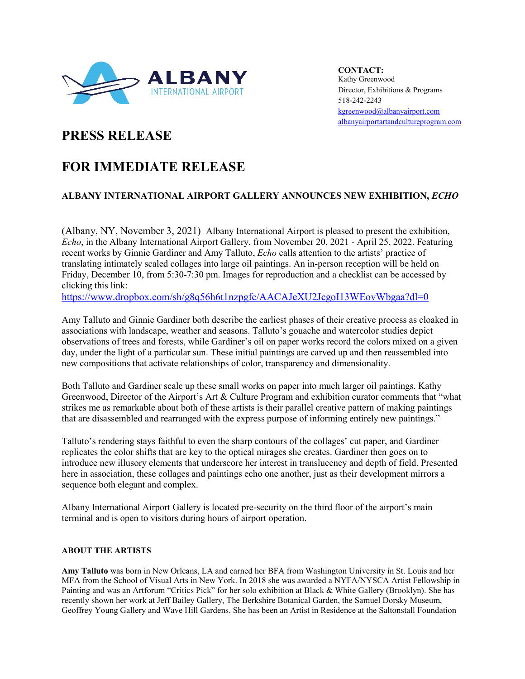

**CONTACT:** Kathy Greenwood Director, Exhibitions & Programs 518-242-2243 [kgreenwood@albanyairport.com](mailto:kgreenwood@albanyairport.com) [albanyairportartandcultureprogram.com](https://www.albanyairportartandcultureprogram.com/)

## **PRESS RELEASE**

# **FOR IMMEDIATE RELEASE**

## **ALBANY INTERNATIONAL AIRPORT GALLERY ANNOUNCES NEW EXHIBITION,** *ECHO*

(Albany, NY, November 3, 2021) Albany International Airport is pleased to present the exhibition, *Echo*, in the Albany International Airport Gallery, from November 20, 2021 - April 25, 2022. Featuring recent works by Ginnie Gardiner and Amy Talluto, *Echo* calls attention to the artists' practice of translating intimately scaled collages into large oil paintings. An in-person reception will be held on Friday, December 10, from 5:30-7:30 pm. Images for reproduction and a checklist can be accessed by clicking this link:

<https://www.dropbox.com/sh/g8q56h6t1nzpgfc/AACAJeXU2JcgoI13WEovWbgaa?dl=0>

Amy Talluto and Ginnie Gardiner both describe the earliest phases of their creative process as cloaked in associations with landscape, weather and seasons. Talluto's gouache and watercolor studies depict observations of trees and forests, while Gardiner's oil on paper works record the colors mixed on a given day, under the light of a particular sun. These initial paintings are carved up and then reassembled into new compositions that activate relationships of color, transparency and dimensionality.

Both Talluto and Gardiner scale up these small works on paper into much larger oil paintings. Kathy Greenwood, Director of the Airport's Art & Culture Program and exhibition curator comments that "what strikes me as remarkable about both of these artists is their parallel creative pattern of making paintings that are disassembled and rearranged with the express purpose of informing entirely new paintings."

Talluto's rendering stays faithful to even the sharp contours of the collages' cut paper, and Gardiner replicates the color shifts that are key to the optical mirages she creates. Gardiner then goes on to introduce new illusory elements that underscore her interest in translucency and depth of field. Presented here in association, these collages and paintings echo one another, just as their development mirrors a sequence both elegant and complex.

Albany International Airport Gallery is located pre-security on the third floor of the airport's main terminal and is open to visitors during hours of airport operation.

### **ABOUT THE ARTISTS**

**Amy Talluto** was born in New Orleans, LA and earned her BFA from Washington University in St. Louis and her MFA from the School of Visual Arts in New York. In 2018 she was awarded a NYFA/NYSCA Artist Fellowship in Painting and was an Artforum "Critics Pick" for her solo exhibition at Black & White Gallery (Brooklyn). She has recently shown her work at Jeff Bailey Gallery, The Berkshire Botanical Garden, the Samuel Dorsky Museum, Geoffrey Young Gallery and Wave Hill Gardens. She has been an Artist in Residence at the Saltonstall Foundation